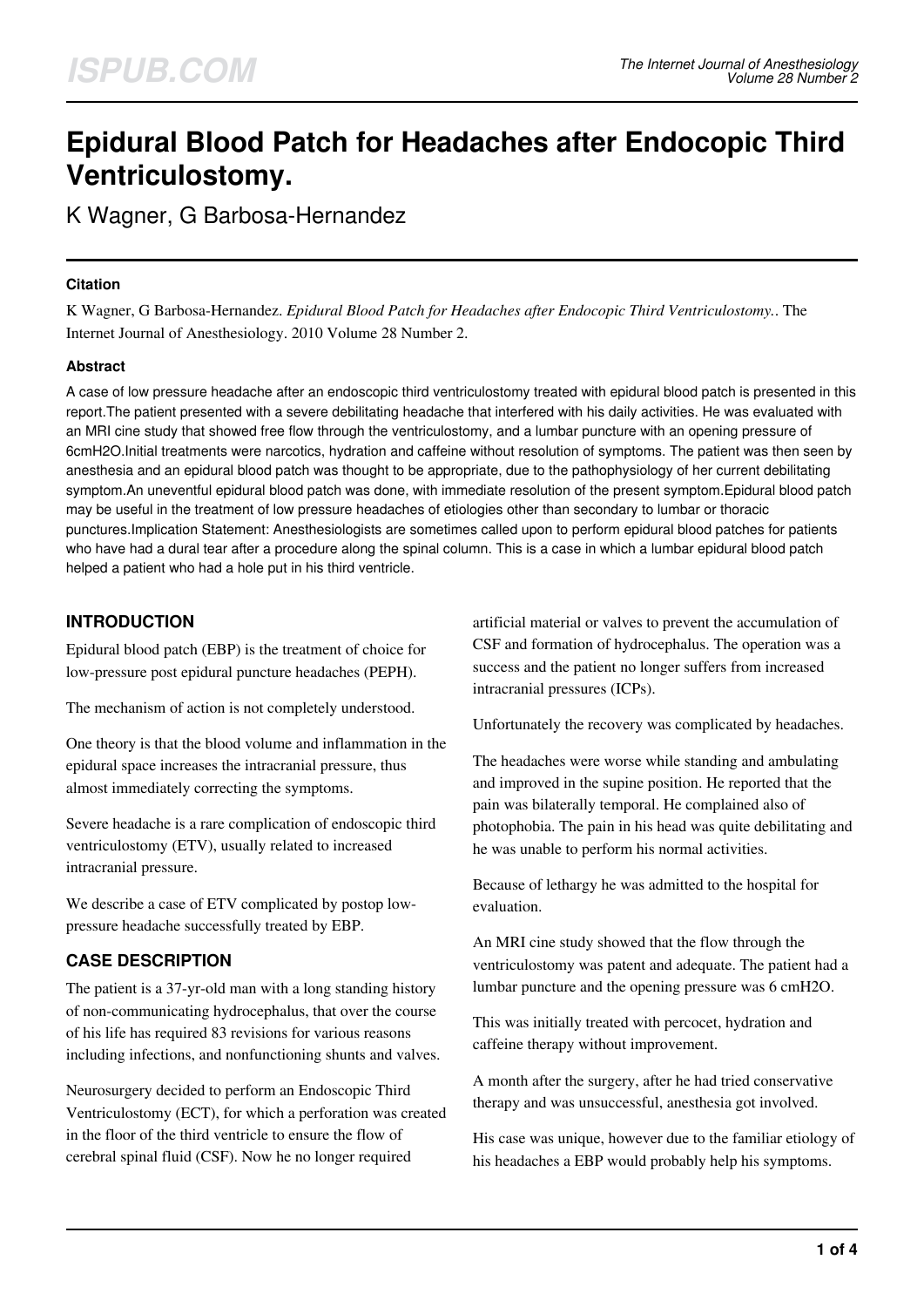# **Epidural Blood Patch for Headaches after Endocopic Third Ventriculostomy.**

K Wagner, G Barbosa-Hernandez

## **Citation**

K Wagner, G Barbosa-Hernandez. *Epidural Blood Patch for Headaches after Endocopic Third Ventriculostomy.*. The Internet Journal of Anesthesiology. 2010 Volume 28 Number 2.

## **Abstract**

A case of low pressure headache after an endoscopic third ventriculostomy treated with epidural blood patch is presented in this report.The patient presented with a severe debilitating headache that interfered with his daily activities. He was evaluated with an MRI cine study that showed free flow through the ventriculostomy, and a lumbar puncture with an opening pressure of 6cmH2O.Initial treatments were narcotics, hydration and caffeine without resolution of symptoms. The patient was then seen by anesthesia and an epidural blood patch was thought to be appropriate, due to the pathophysiology of her current debilitating symptom.An uneventful epidural blood patch was done, with immediate resolution of the present symptom.Epidural blood patch may be useful in the treatment of low pressure headaches of etiologies other than secondary to lumbar or thoracic punctures.Implication Statement: Anesthesiologists are sometimes called upon to perform epidural blood patches for patients who have had a dural tear after a procedure along the spinal column. This is a case in which a lumbar epidural blood patch helped a patient who had a hole put in his third ventricle.

# **INTRODUCTION**

Epidural blood patch (EBP) is the treatment of choice for low-pressure post epidural puncture headaches (PEPH).

The mechanism of action is not completely understood.

One theory is that the blood volume and inflammation in the epidural space increases the intracranial pressure, thus almost immediately correcting the symptoms.

Severe headache is a rare complication of endoscopic third ventriculostomy (ETV), usually related to increased intracranial pressure.

We describe a case of ETV complicated by postop lowpressure headache successfully treated by EBP.

# **CASE DESCRIPTION**

The patient is a 37-yr-old man with a long standing history of non-communicating hydrocephalus, that over the course of his life has required 83 revisions for various reasons including infections, and nonfunctioning shunts and valves.

Neurosurgery decided to perform an Endoscopic Third Ventriculostomy (ECT), for which a perforation was created in the floor of the third ventricle to ensure the flow of cerebral spinal fluid (CSF). Now he no longer required

artificial material or valves to prevent the accumulation of CSF and formation of hydrocephalus. The operation was a success and the patient no longer suffers from increased intracranial pressures (ICPs).

Unfortunately the recovery was complicated by headaches.

The headaches were worse while standing and ambulating and improved in the supine position. He reported that the pain was bilaterally temporal. He complained also of photophobia. The pain in his head was quite debilitating and he was unable to perform his normal activities.

Because of lethargy he was admitted to the hospital for evaluation.

An MRI cine study showed that the flow through the ventriculostomy was patent and adequate. The patient had a lumbar puncture and the opening pressure was 6 cmH2O.

This was initially treated with percocet, hydration and caffeine therapy without improvement.

A month after the surgery, after he had tried conservative therapy and was unsuccessful, anesthesia got involved.

His case was unique, however due to the familiar etiology of his headaches a EBP would probably help his symptoms.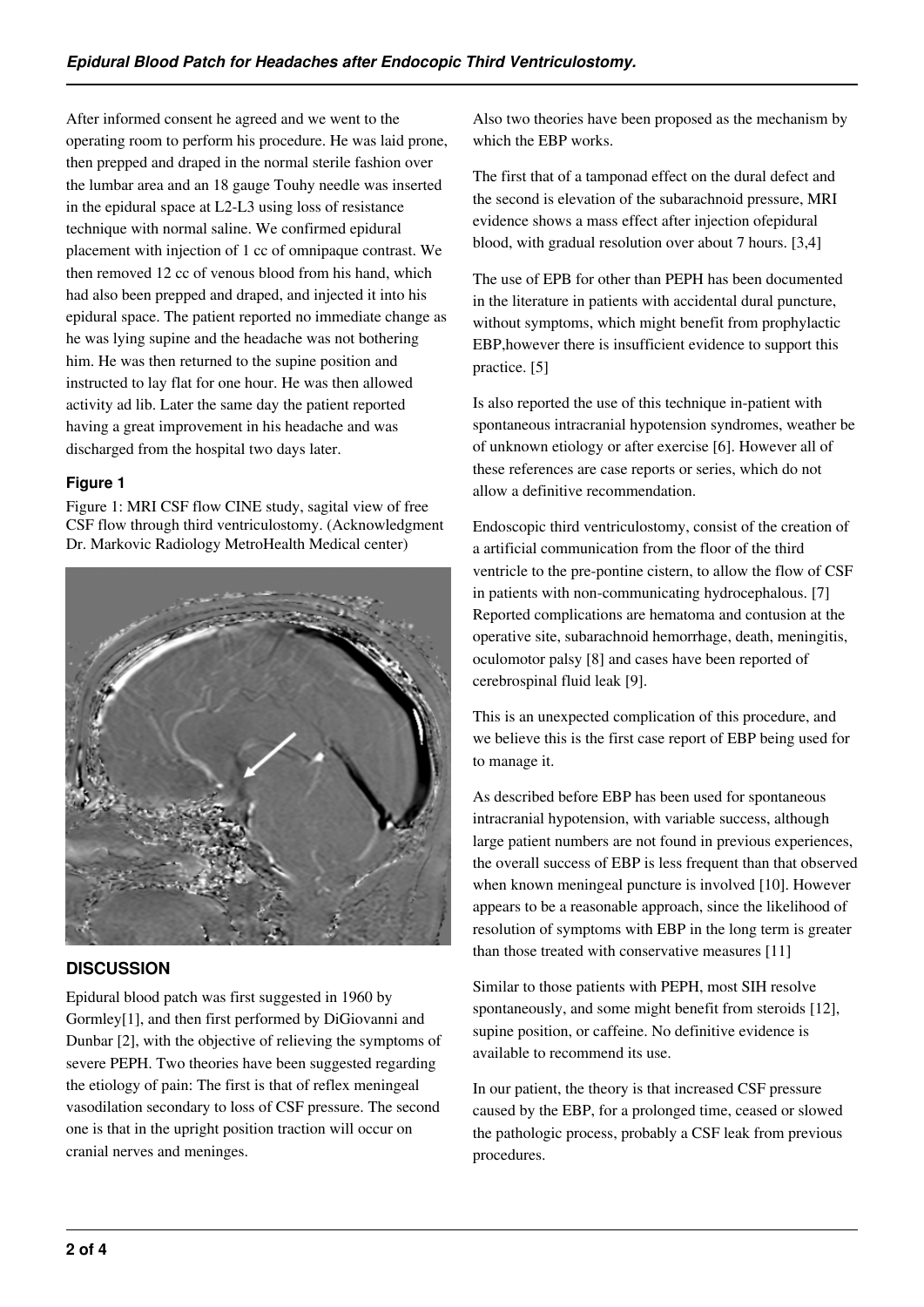After informed consent he agreed and we went to the operating room to perform his procedure. He was laid prone, then prepped and draped in the normal sterile fashion over the lumbar area and an 18 gauge Touhy needle was inserted in the epidural space at L2-L3 using loss of resistance technique with normal saline. We confirmed epidural placement with injection of 1 cc of omnipaque contrast. We then removed 12 cc of venous blood from his hand, which had also been prepped and draped, and injected it into his epidural space. The patient reported no immediate change as he was lying supine and the headache was not bothering him. He was then returned to the supine position and instructed to lay flat for one hour. He was then allowed activity ad lib. Later the same day the patient reported having a great improvement in his headache and was discharged from the hospital two days later.

## **Figure 1**

Figure 1: MRI CSF flow CINE study, sagital view of free CSF flow through third ventriculostomy. (Acknowledgment Dr. Markovic Radiology MetroHealth Medical center)



# **DISCUSSION**

Epidural blood patch was first suggested in 1960 by Gormley[1], and then first performed by DiGiovanni and Dunbar [2], with the objective of relieving the symptoms of severe PEPH. Two theories have been suggested regarding the etiology of pain: The first is that of reflex meningeal vasodilation secondary to loss of CSF pressure. The second one is that in the upright position traction will occur on cranial nerves and meninges.

Also two theories have been proposed as the mechanism by which the EBP works.

The first that of a tamponad effect on the dural defect and the second is elevation of the subarachnoid pressure, MRI evidence shows a mass effect after injection ofepidural blood, with gradual resolution over about 7 hours. [3,4]

The use of EPB for other than PEPH has been documented in the literature in patients with accidental dural puncture, without symptoms, which might benefit from prophylactic EBP,however there is insufficient evidence to support this practice. [5]

Is also reported the use of this technique in-patient with spontaneous intracranial hypotension syndromes, weather be of unknown etiology or after exercise [6]. However all of these references are case reports or series, which do not allow a definitive recommendation.

Endoscopic third ventriculostomy, consist of the creation of a artificial communication from the floor of the third ventricle to the pre-pontine cistern, to allow the flow of CSF in patients with non-communicating hydrocephalous. [7] Reported complications are hematoma and contusion at the operative site, subarachnoid hemorrhage, death, meningitis, oculomotor palsy [8] and cases have been reported of cerebrospinal fluid leak [9].

This is an unexpected complication of this procedure, and we believe this is the first case report of EBP being used for to manage it.

As described before EBP has been used for spontaneous intracranial hypotension, with variable success, although large patient numbers are not found in previous experiences, the overall success of EBP is less frequent than that observed when known meningeal puncture is involved [10]. However appears to be a reasonable approach, since the likelihood of resolution of symptoms with EBP in the long term is greater than those treated with conservative measures [11]

Similar to those patients with PEPH, most SIH resolve spontaneously, and some might benefit from steroids [12], supine position, or caffeine. No definitive evidence is available to recommend its use.

In our patient, the theory is that increased CSF pressure caused by the EBP, for a prolonged time, ceased or slowed the pathologic process, probably a CSF leak from previous procedures.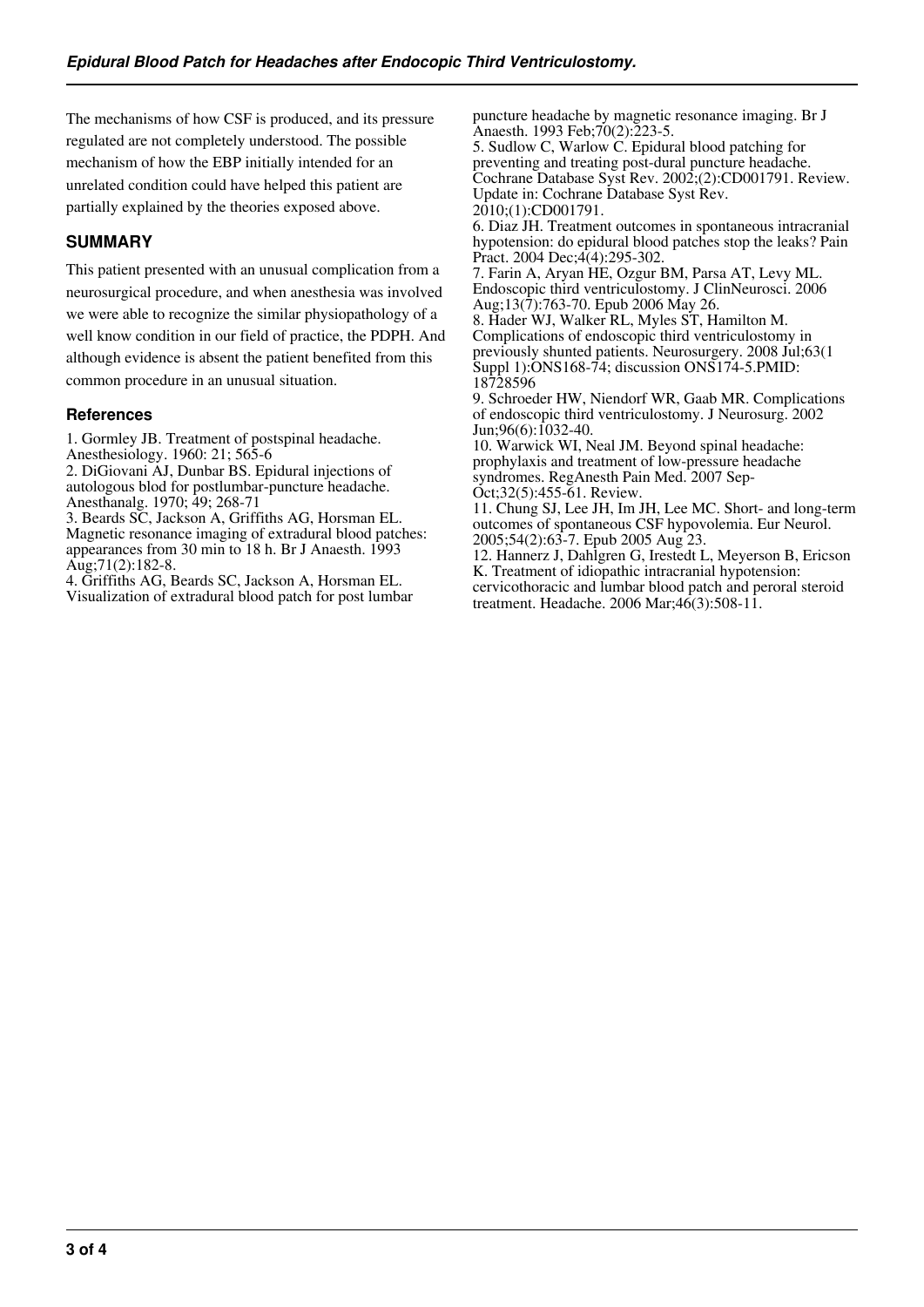The mechanisms of how CSF is produced, and its pressure regulated are not completely understood. The possible mechanism of how the EBP initially intended for an unrelated condition could have helped this patient are partially explained by the theories exposed above.

# **SUMMARY**

This patient presented with an unusual complication from a neurosurgical procedure, and when anesthesia was involved we were able to recognize the similar physiopathology of a well know condition in our field of practice, the PDPH. And although evidence is absent the patient benefited from this common procedure in an unusual situation.

## **References**

1. Gormley JB. Treatment of postspinal headache.

Anesthesiology. 1960: 21; 565-6

2. DiGiovani AJ, Dunbar BS. Epidural injections of autologous blod for postlumbar-puncture headache. Anesthanalg. 1970; 49; 268-71

3. Beards SC, Jackson A, Griffiths AG, Horsman EL. Magnetic resonance imaging of extradural blood patches: appearances from 30 min to 18 h. Br J Anaesth. 1993 Aug;71(2):182-8.

4. Griffiths AG, Beards SC, Jackson A, Horsman EL. Visualization of extradural blood patch for post lumbar puncture headache by magnetic resonance imaging. Br J Anaesth. 1993 Feb;70(2):223-5.

5. Sudlow C, Warlow C. Epidural blood patching for preventing and treating post-dural puncture headache. Cochrane Database Syst Rev. 2002;(2):CD001791. Review. Update in: Cochrane Database Syst Rev. 2010;(1):CD001791.

6. Diaz JH. Treatment outcomes in spontaneous intracranial hypotension: do epidural blood patches stop the leaks? Pain Pract. 2004 Dec: 4(4): 295-302.

7. Farin A, Aryan HE, Ozgur BM, Parsa AT, Levy ML. Endoscopic third ventriculostomy. J ClinNeurosci. 2006 Aug;13(7):763-70. Epub 2006 May 26.

8. Hader WJ, Walker RL, Myles ST, Hamilton M. Complications of endoscopic third ventriculostomy in previously shunted patients. Neurosurgery. 2008 Jul;63(1 Suppl 1):ONS168-74; discussion ONS174-5.PMID: 18728596

9. Schroeder HW, Niendorf WR, Gaab MR. Complications of endoscopic third ventriculostomy. J Neurosurg. 2002 Jun;96(6):1032-40.

10. Warwick WI, Neal JM. Beyond spinal headache: prophylaxis and treatment of low-pressure headache syndromes. RegAnesth Pain Med. 2007 Sep-Oct;32(5):455-61. Review.

11. Chung SJ, Lee JH, Im JH, Lee MC. Short- and long-term outcomes of spontaneous CSF hypovolemia. Eur Neurol. 2005;54(2):63-7. Epub 2005 Aug 23.

12. Hannerz J, Dahlgren G, Irestedt L, Meyerson B, Ericson K. Treatment of idiopathic intracranial hypotension: cervicothoracic and lumbar blood patch and peroral steroid treatment. Headache. 2006 Mar;46(3):508-11.